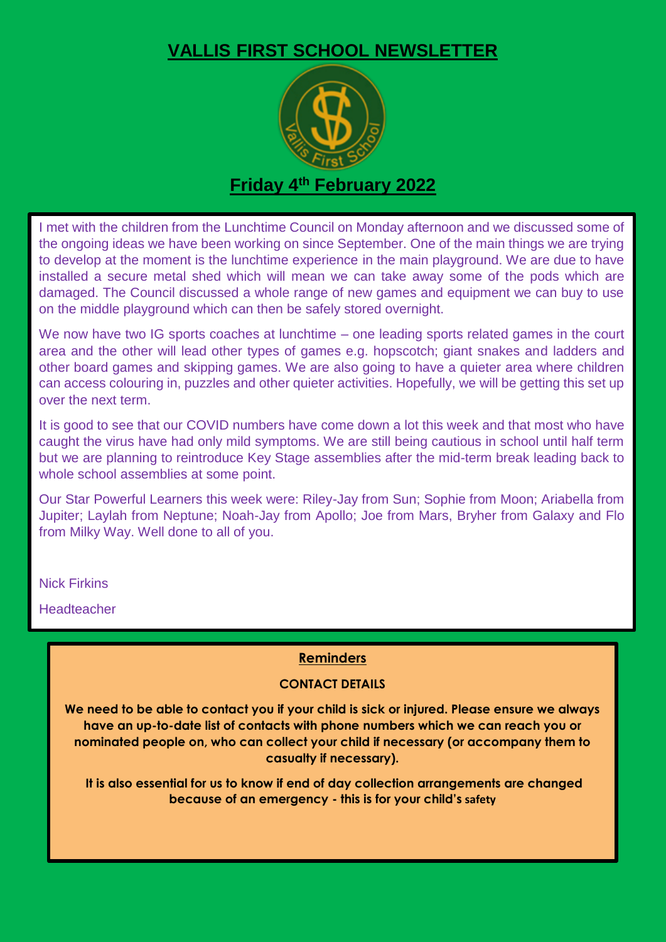## **VALLIS FIRST SCHOOL NEWSLETTER**



### **Friday 4 th February 2022**

I met with the children from the Lunchtime Council on Monday afternoon and we discussed some of the ongoing ideas we have been working on since September. One of the main things we are trying to develop at the moment is the lunchtime experience in the main playground. We are due to have installed a secure metal shed which will mean we can take away some of the pods which are damaged. The Council discussed a whole range of new games and equipment we can buy to use on the middle playground which can then be safely stored overnight.

We now have two IG sports coaches at lunchtime – one leading sports related games in the court area and the other will lead other types of games e.g. hopscotch; giant snakes and ladders and other board games and skipping games. We are also going to have a quieter area where children can access colouring in, puzzles and other quieter activities. Hopefully, we will be getting this set up over the next term.

It is good to see that our COVID numbers have come down a lot this week and that most who have caught the virus have had only mild symptoms. We are still being cautious in school until half term but we are planning to reintroduce Key Stage assemblies after the mid-term break leading back to whole school assemblies at some point.

Our Star Powerful Learners this week were: Riley-Jay from Sun; Sophie from Moon; Ariabella from Jupiter; Laylah from Neptune; Noah-Jay from Apollo; Joe from Mars, Bryher from Galaxy and Flo from Milky Way. Well done to all of you.

Nick Firkins

Headteacher

#### **Reminders**

#### **CONTACT DETAILS**

**We need to be able to contact you if your child is sick or injured. Please ensure we always have an up-to-date list of contacts with phone numbers which we can reach you or nominated people on, who can collect your child if necessary (or accompany them to casualty if necessary).**

**It is also essential for us to know if end of day collection arrangements are changed because of an emergency - this is for your child's safety**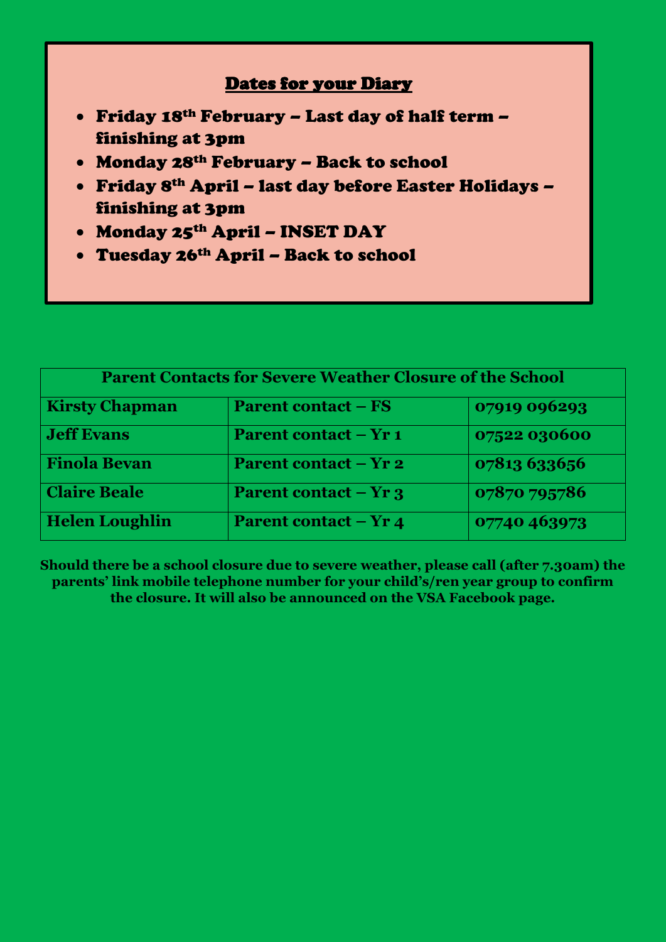### Dates for your Diary

- Friday 18th February Last day of half term finishing at 3pm
- Monday 28th February Back to school
- Friday 8th April last day before Easter Holidays finishing at 3pm

- Monday 25th April INSET DAY
- Tuesday 26th April Back to school

| <b>Parent Contacts for Severe Weather Closure of the School</b> |                              |              |
|-----------------------------------------------------------------|------------------------------|--------------|
| <b>Kirsty Chapman</b>                                           | <b>Parent contact – FS</b>   | 07919 096293 |
| <b>Jeff Evans</b>                                               | <b>Parent contact – Yr 1</b> | 07522 030600 |
| <b>Finola Bevan</b>                                             | <b>Parent contact – Yr 2</b> | 07813 633656 |
| <b>Claire Beale</b>                                             | <b>Parent contact – Yr 3</b> | 07870 795786 |
| <b>Helen Loughlin</b>                                           | <b>Parent contact – Yr 4</b> | 07740 463973 |

**Should there be a school closure due to severe weather, please call (after 7.30am) the parents' link mobile telephone number for your child's/ren year group to confirm the closure. It will also be announced on the VSA Facebook page.**